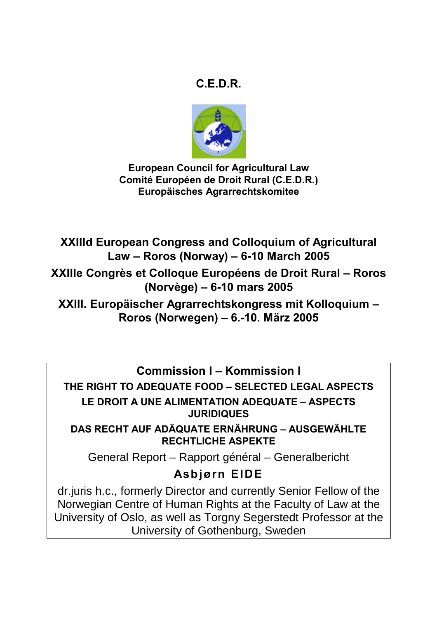## **C.E.D.R.**



**European Council for Agricultural Law Comité Européen de Droit Rural (C.E.D.R.) Europäisches Agrarrechtskomitee** 

**XXIIId European Congress and Colloquium of Agricultural Law – Roros (Norway) – 6-10 March 2005 XXIIIe Congrès et Colloque Européens de Droit Rural – Roros (Norvège) – 6-10 mars 2005 XXIII. Europäischer Agrarrechtskongress mit Kolloquium – Roros (Norwegen) – 6.-10. März 2005** 

**Commission I – Kommission I** 

**THE RIGHT TO ADEQUATE FOOD – SELECTED LEGAL ASPECTS LE DROIT A UNE ALIMENTATION ADEQUATE – ASPECTS JURIDIQUES** 

**DAS RECHT AUF ADÄQUATE ERNÄHRUNG – AUSGEWÄHLTE RECHTLICHE ASPEKTE** 

General Report – Rapport général – Generalbericht

# **Asbjørn EIDE**

dr.juris h.c., formerly Director and currently Senior Fellow of the Norwegian Centre of Human Rights at the Faculty of Law at the University of Oslo, as well as Torgny Segerstedt Professor at the University of Gothenburg, Sweden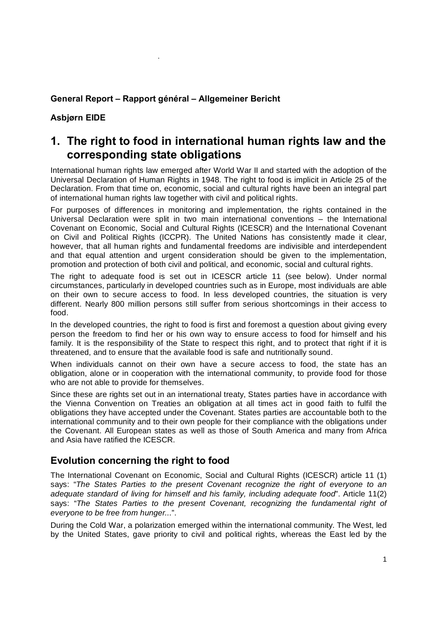### **General Report – Rapport général – Allgemeiner Bericht**

### **Asbjørn EIDE**

.

## **1. The right to food in international human rights law and the corresponding state obligations**

International human rights law emerged after World War II and started with the adoption of the Universal Declaration of Human Rights in 1948. The right to food is implicit in Article 25 of the Declaration. From that time on, economic, social and cultural rights have been an integral part of international human rights law together with civil and political rights.

For purposes of differences in monitoring and implementation, the rights contained in the Universal Declaration were split in two main international conventions – the International Covenant on Economic, Social and Cultural Rights (ICESCR) and the International Covenant on Civil and Political Rights (ICCPR). The United Nations has consistently made it clear, however, that all human rights and fundamental freedoms are indivisible and interdependent and that equal attention and urgent consideration should be given to the implementation, promotion and protection of both civil and political, and economic, social and cultural rights.

The right to adequate food is set out in ICESCR article 11 (see below). Under normal circumstances, particularly in developed countries such as in Europe, most individuals are able on their own to secure access to food. In less developed countries, the situation is very different. Nearly 800 million persons still suffer from serious shortcomings in their access to food.

In the developed countries, the right to food is first and foremost a question about giving every person the freedom to find her or his own way to ensure access to food for himself and his family. It is the responsibility of the State to respect this right, and to protect that right if it is threatened, and to ensure that the available food is safe and nutritionally sound.

When individuals cannot on their own have a secure access to food, the state has an obligation, alone or in cooperation with the international community, to provide food for those who are not able to provide for themselves.

Since these are rights set out in an international treaty, States parties have in accordance with the Vienna Convention on Treaties an obligation at all times act in good faith to fulfil the obligations they have accepted under the Covenant. States parties are accountable both to the international community and to their own people for their compliance with the obligations under the Covenant. All European states as well as those of South America and many from Africa and Asia have ratified the ICESCR.

### **Evolution concerning the right to food**

The International Covenant on Economic, Social and Cultural Rights (ICESCR) article 11 (1) says: "*The States Parties to the present Covenant recognize the right of everyone to an adequate standard of living for himself and his family, including adequate food*". Article 11(2) says: "*The States Parties to the present Covenant, recognizing the fundamental right of everyone to be free from hunger...*".

During the Cold War, a polarization emerged within the international community. The West, led by the United States, gave priority to civil and political rights, whereas the East led by the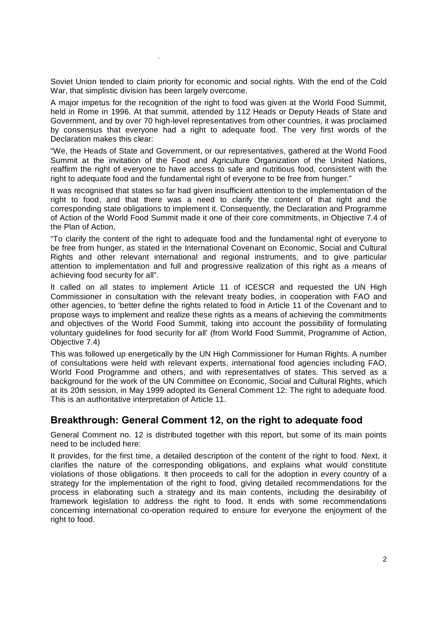Soviet Union tended to claim priority for economic and social rights. With the end of the Cold War, that simplistic division has been largely overcome.

.

A major impetus for the recognition of the right to food was given at the World Food Summit, held in Rome in 1996. At that summit, attended by 112 Heads or Deputy Heads of State and Government, and by over 70 high-level representatives from other countries, it was proclaimed by consensus that everyone had a right to adequate food. The very first words of the Declaration makes this clear:

"We, the Heads of State and Government, or our representatives, gathered at the World Food Summit at the invitation of the Food and Agriculture Organization of the United Nations, reaffirm the right of everyone to have access to safe and nutritious food, consistent with the right to adequate food and the fundamental right of everyone to be free from hunger."

It was recognised that states so far had given insufficient attention to the implementation of the right to food, and that there was a need to clarify the content of that right and the corresponding state obligations to implement it. Consequently, the Declaration and Programme of Action of the World Food Summit made it one of their core commitments, in Objective 7.4 of the Plan of Action,

"To clarify the content of the right to adequate food and the fundamental right of everyone to be free from hunger, as stated in the International Covenant on Economic, Social and Cultural Rights and other relevant international and regional instruments, and to give particular attention to implementation and full and progressive realization of this right as a means of achieving food security for all".

It called on all states to implement Article 11 of ICESCR and requested the UN High Commissioner in consultation with the relevant treaty bodies, in cooperation with FAO and other agencies, to 'better define the rights related to food in Article 11 of the Covenant and to propose ways to implement and realize these rights as a means of achieving the commitments and objectives of the World Food Summit, taking into account the possibility of formulating voluntary guidelines for food security for all' (from World Food Summit, Programme of Action, Objective 7.4)

This was followed up energetically by the UN High Commissioner for Human Rights. A number of consultations were held with relevant experts, international food agencies including FAO, World Food Programme and others, and with representatives of states. This served as a background for the work of the UN Committee on Economic, Social and Cultural Rights, which at its 20th session, in May 1999 adopted its General Comment 12: The right to adequate food. This is an authoritative interpretation of Article 11.

### **Breakthrough: General Comment 12, on the right to adequate food**

General Comment no. 12 is distributed together with this report, but some of its main points need to be included here:

It provides, for the first time, a detailed description of the content of the right to food. Next, it clarifies the nature of the corresponding obligations, and explains what would constitute violations of those obligations. It then proceeds to call for the adoption in every country of a strategy for the implementation of the right to food, giving detailed recommendations for the process in elaborating such a strategy and its main contents, including the desirability of framework legislation to address the right to food. It ends with some recommendations concerning international co-operation required to ensure for everyone the enjoyment of the right to food.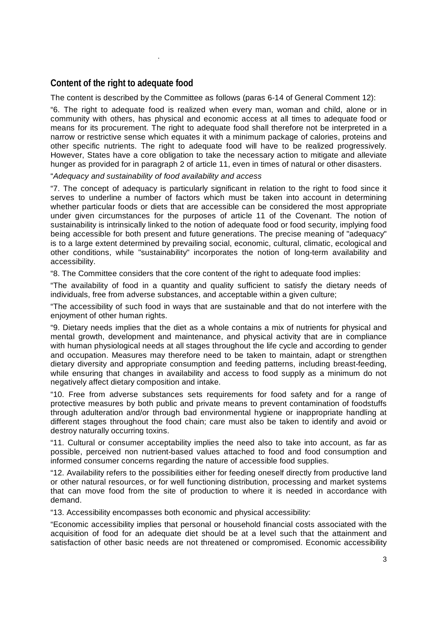### **Content of the right to adequate food**

.

The content is described by the Committee as follows (paras 6-14 of General Comment 12):

"6. The right to adequate food is realized when every man, woman and child, alone or in community with others, has physical and economic access at all times to adequate food or means for its procurement. The right to adequate food shall therefore not be interpreted in a narrow or restrictive sense which equates it with a minimum package of calories, proteins and other specific nutrients. The right to adequate food will have to be realized progressively. However, States have a core obligation to take the necessary action to mitigate and alleviate hunger as provided for in paragraph 2 of article 11, even in times of natural or other disasters.

"*Adequacy and sustainability of food availability and access* 

"7. The concept of adequacy is particularly significant in relation to the right to food since it serves to underline a number of factors which must be taken into account in determining whether particular foods or diets that are accessible can be considered the most appropriate under given circumstances for the purposes of article 11 of the Covenant. The notion of sustainability is intrinsically linked to the notion of adequate food or food security, implying food being accessible for both present and future generations. The precise meaning of "adequacy" is to a large extent determined by prevailing social, economic, cultural, climatic, ecological and other conditions, while "sustainability" incorporates the notion of long-term availability and accessibility.

"8. The Committee considers that the core content of the right to adequate food implies:

"The availability of food in a quantity and quality sufficient to satisfy the dietary needs of individuals, free from adverse substances, and acceptable within a given culture;

"The accessibility of such food in ways that are sustainable and that do not interfere with the enjoyment of other human rights.

"9. Dietary needs implies that the diet as a whole contains a mix of nutrients for physical and mental growth, development and maintenance, and physical activity that are in compliance with human physiological needs at all stages throughout the life cycle and according to gender and occupation. Measures may therefore need to be taken to maintain, adapt or strengthen dietary diversity and appropriate consumption and feeding patterns, including breast-feeding, while ensuring that changes in availability and access to food supply as a minimum do not negatively affect dietary composition and intake.

"10. Free from adverse substances sets requirements for food safety and for a range of protective measures by both public and private means to prevent contamination of foodstuffs through adulteration and/or through bad environmental hygiene or inappropriate handling at different stages throughout the food chain; care must also be taken to identify and avoid or destroy naturally occurring toxins.

"11. Cultural or consumer acceptability implies the need also to take into account, as far as possible, perceived non nutrient-based values attached to food and food consumption and informed consumer concerns regarding the nature of accessible food supplies.

"12. Availability refers to the possibilities either for feeding oneself directly from productive land or other natural resources, or for well functioning distribution, processing and market systems that can move food from the site of production to where it is needed in accordance with demand.

"13. Accessibility encompasses both economic and physical accessibility:

"Economic accessibility implies that personal or household financial costs associated with the acquisition of food for an adequate diet should be at a level such that the attainment and satisfaction of other basic needs are not threatened or compromised. Economic accessibility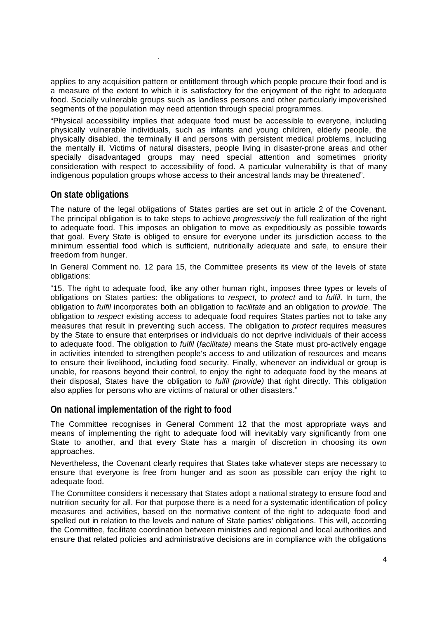applies to any acquisition pattern or entitlement through which people procure their food and is a measure of the extent to which it is satisfactory for the enjoyment of the right to adequate food. Socially vulnerable groups such as landless persons and other particularly impoverished segments of the population may need attention through special programmes.

"Physical accessibility implies that adequate food must be accessible to everyone, including physically vulnerable individuals, such as infants and young children, elderly people, the physically disabled, the terminally ill and persons with persistent medical problems, including the mentally ill. Victims of natural disasters, people living in disaster-prone areas and other specially disadvantaged groups may need special attention and sometimes priority consideration with respect to accessibility of food. A particular vulnerability is that of many indigenous population groups whose access to their ancestral lands may be threatened".

### **On state obligations**

.

The nature of the legal obligations of States parties are set out in article 2 of the Covenant. The principal obligation is to take steps to achieve *progressively* the full realization of the right to adequate food. This imposes an obligation to move as expeditiously as possible towards that goal. Every State is obliged to ensure for everyone under its jurisdiction access to the minimum essential food which is sufficient, nutritionally adequate and safe, to ensure their freedom from hunger.

In General Comment no. 12 para 15, the Committee presents its view of the levels of state obligations:

"15. The right to adequate food, like any other human right, imposes three types or levels of obligations on States parties: the obligations to *respect*, to *protect* and to *fulfil*. In turn, the obligation to *fulfil* incorporates both an obligation to *facilitate* and an obligation to *provide*. The obligation to *respect* existing access to adequate food requires States parties not to take any measures that result in preventing such access. The obligation to *protect* requires measures by the State to ensure that enterprises or individuals do not deprive individuals of their access to adequate food. The obligation to *fulfil* (*facilitate)* means the State must pro-actively engage in activities intended to strengthen people's access to and utilization of resources and means to ensure their livelihood, including food security. Finally, whenever an individual or group is unable, for reasons beyond their control, to enjoy the right to adequate food by the means at their disposal, States have the obligation to *fulfil (provide)* that right directly. This obligation also applies for persons who are victims of natural or other disasters."

### **On national implementation of the right to food**

The Committee recognises in General Comment 12 that the most appropriate ways and means of implementing the right to adequate food will inevitably vary significantly from one State to another, and that every State has a margin of discretion in choosing its own approaches.

Nevertheless, the Covenant clearly requires that States take whatever steps are necessary to ensure that everyone is free from hunger and as soon as possible can enjoy the right to adequate food.

The Committee considers it necessary that States adopt a national strategy to ensure food and nutrition security for all. For that purpose there is a need for a systematic identification of policy measures and activities, based on the normative content of the right to adequate food and spelled out in relation to the levels and nature of State parties' obligations. This will, according the Committee, facilitate coordination between ministries and regional and local authorities and ensure that related policies and administrative decisions are in compliance with the obligations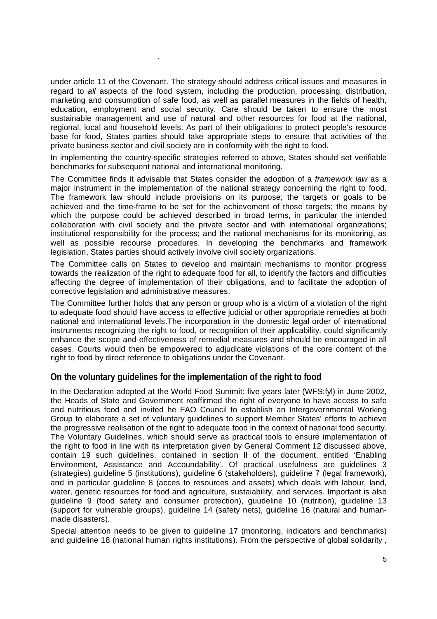under article 11 of the Covenant. The strategy should address critical issues and measures in regard to *all* aspects of the food system, including the production, processing, distribution, marketing and consumption of safe food, as well as parallel measures in the fields of health, education, employment and social security. Care should be taken to ensure the most sustainable management and use of natural and other resources for food at the national, regional, local and household levels. As part of their obligations to protect people's resource base for food, States parties should take appropriate steps to ensure that activities of the private business sector and civil society are in conformity with the right to food.

.

In implementing the country-specific strategies referred to above, States should set verifiable benchmarks for subsequent national and international monitoring.

The Committee finds it advisable that States consider the adoption of a *framework law* as a major instrument in the implementation of the national strategy concerning the right to food. The framework law should include provisions on its purpose; the targets or goals to be achieved and the time-frame to be set for the achievement of those targets; the means by which the purpose could be achieved described in broad terms, in particular the intended collaboration with civil society and the private sector and with international organizations; institutional responsibility for the process; and the national mechanisms for its monitoring, as well as possible recourse procedures. In developing the benchmarks and framework legislation, States parties should actively involve civil society organizations.

The Committee calls on States to develop and maintain mechanisms to monitor progress towards the realization of the right to adequate food for all, to identify the factors and difficulties affecting the degree of implementation of their obligations, and to facilitate the adoption of corrective legislation and administrative measures.

The Committee further holds that any person or group who is a victim of a violation of the right to adequate food should have access to effective judicial or other appropriate remedies at both national and international levels.The incorporation in the domestic legal order of international instruments recognizing the right to food, or recognition of their applicability, could significantly enhance the scope and effectiveness of remedial measures and should be encouraged in all cases. Courts would then be empowered to adjudicate violations of the core content of the right to food by direct reference to obligations under the Covenant.

### **On the voluntary guidelines for the implementation of the right to food**

In the Declaration adopted at the World Food Summit: five years later (WFS:fyl) in June 2002, the Heads of State and Government reaffirmed the right of everyone to have access to safe and nutritious food and invited he FAO Council to establish an Intergovernmental Working Group to elaborate a set of voluntary guidelines to support Member States' efforts to achieve the progressive realisation of the right to adequate food in the context of national food security. The Voluntary Guidelines, which should serve as practical tools to ensure implementation of the right to food in line with its interpretation given by General Comment 12 discussed above, contain 19 such guidelines, contained in section II of the document, entitled 'Enabling Environment, Assistance and Accoundability'. Of practical usefulness are guidelines 3 (strategies) guideline 5 (institutions), guideline 6 (stakeholders), guideline 7 (legal framework), and in particular guideline 8 (acces to resources and assets) which deals with labour, land, water, genetic resources for food and agriculture, sustaiability, and services. Important is also guideline 9 (food safety and consumer protection), guudeline 10 (nutrition), guideline 13 (support for vulnerable groups), guideline 14 (safety nets), guideline 16 (natural and humanmade disasters).

Special attention needs to be given to guideline 17 (monitoring, indicators and benchmarks) and quideline 18 (national human rights institutions). From the perspective of global solidarity,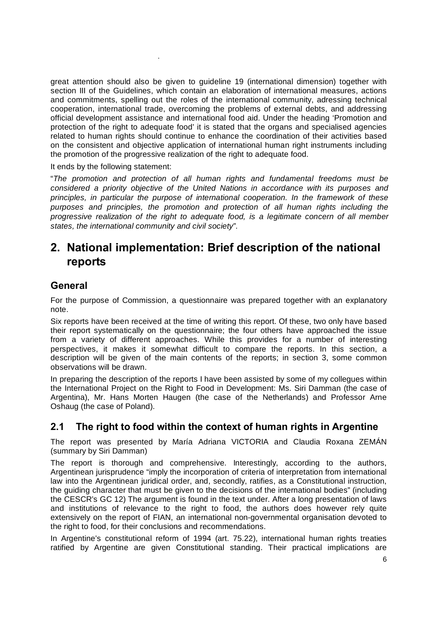great attention should also be given to guideline 19 (international dimension) together with section III of the Guidelines, which contain an elaboration of international measures, actions and commitments, spelling out the roles of the international community, adressing technical cooperation, international trade, overcoming the problems of external debts, and addressing official development assistance and international food aid. Under the heading 'Promotion and protection of the right to adequate food' it is stated that the organs and specialised agencies related to human rights should continue to enhance the coordination of their activities based on the consistent and objective application of international human right instruments including the promotion of the progressive realization of the right to adequate food.

It ends by the following statement:

.

"*The promotion and protection of all human rights and fundamental freedoms must be considered a priority objective of the United Nations in accordance with its purposes and principles, in particular the purpose of international cooperation. In the framework of these purposes and principles, the promotion and protection of all human rights including the progressive realization of the right to adequate food, is a legitimate concern of all member states, the international community and civil society*"*.* 

## **2. National implementation: Brief description of the national reports**

### **General**

For the purpose of Commission, a questionnaire was prepared together with an explanatory note.

Six reports have been received at the time of writing this report. Of these, two only have based their report systematically on the questionnaire; the four others have approached the issue from a variety of different approaches. While this provides for a number of interesting perspectives, it makes it somewhat difficult to compare the reports. In this section, a description will be given of the main contents of the reports; in section 3, some common observations will be drawn.

In preparing the description of the reports I have been assisted by some of my collegues within the International Project on the Right to Food in Development: Ms. Siri Damman (the case of Argentina), Mr. Hans Morten Haugen (the case of the Netherlands) and Professor Arne Oshaug (the case of Poland).

### **2.1 The right to food within the context of human rights in Argentine**

The report was presented by María Adriana VICTORIA and Claudia Roxana ZEMÁN (summary by Siri Damman)

The report is thorough and comprehensive. Interestingly, according to the authors, Argentinean jurisprudence "imply the incorporation of criteria of interpretation from international law into the Argentinean juridical order, and, secondly, ratifies, as a Constitutional instruction, the guiding character that must be given to the decisions of the international bodies" (including the CESCR's GC 12) The argument is found in the text under. After a long presentation of laws and institutions of relevance to the right to food, the authors does however rely quite extensively on the report of FIAN, an international non-governmental organisation devoted to the right to food, for their conclusions and recommendations.

In Argentine's constitutional reform of 1994 (art. 75.22), international human rights treaties ratified by Argentine are given Constitutional standing. Their practical implications are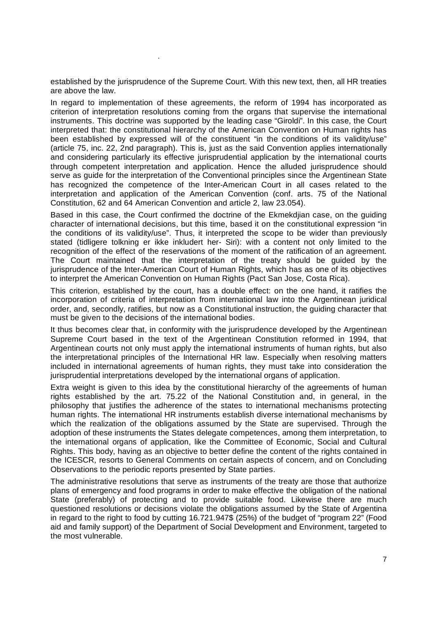established by the jurisprudence of the Supreme Court. With this new text, then, all HR treaties are above the law.

.

In regard to implementation of these agreements, the reform of 1994 has incorporated as criterion of interpretation resolutions coming from the organs that supervise the international instruments. This doctrine was supported by the leading case "Giroldi". In this case, the Court interpreted that: the constitutional hierarchy of the American Convention on Human rights has been established by expressed will of the constituent "in the conditions of its validity/use" (article 75, inc. 22, 2nd paragraph). This is, just as the said Convention applies internationally and considering particularly its effective jurisprudential application by the international courts through competent interpretation and application. Hence the alluded jurisprudence should serve as guide for the interpretation of the Conventional principles since the Argentinean State has recognized the competence of the Inter-American Court in all cases related to the interpretation and application of the American Convention (conf. arts. 75 of the National Constitution, 62 and 64 American Convention and article 2, law 23.054).

Based in this case, the Court confirmed the doctrine of the Ekmekdjian case, on the guiding character of international decisions, but this time, based it on the constitutional expression "in the conditions of its validity/use". Thus, it interpreted the scope to be wider than previously stated (tidligere tolkning er ikke inkludert her- Siri): with a content not only limited to the recognition of the effect of the reservations of the moment of the ratification of an agreement. The Court maintained that the interpretation of the treaty should be guided by the jurisprudence of the Inter-American Court of Human Rights, which has as one of its objectives to interpret the American Convention on Human Rights (Pact San Jose, Costa Rica).

This criterion, established by the court, has a double effect: on the one hand, it ratifies the incorporation of criteria of interpretation from international law into the Argentinean juridical order, and, secondly, ratifies, but now as a Constitutional instruction, the guiding character that must be given to the decisions of the international bodies.

It thus becomes clear that, in conformity with the jurisprudence developed by the Argentinean Supreme Court based in the text of the Argentinean Constitution reformed in 1994, that Argentinean courts not only must apply the international instruments of human rights, but also the interpretational principles of the International HR law. Especially when resolving matters included in international agreements of human rights, they must take into consideration the jurisprudential interpretations developed by the international organs of application.

Extra weight is given to this idea by the constitutional hierarchy of the agreements of human rights established by the art. 75.22 of the National Constitution and, in general, in the philosophy that justifies the adherence of the states to international mechanisms protecting human rights. The international HR instruments establish diverse international mechanisms by which the realization of the obligations assumed by the State are supervised. Through the adoption of these instruments the States delegate competences, among them interpretation, to the international organs of application, like the Committee of Economic, Social and Cultural Rights. This body, having as an objective to better define the content of the rights contained in the ICESCR, resorts to General Comments on certain aspects of concern, and on Concluding Observations to the periodic reports presented by State parties.

The administrative resolutions that serve as instruments of the treaty are those that authorize plans of emergency and food programs in order to make effective the obligation of the national State (preferably) of protecting and to provide suitable food. Likewise there are much questioned resolutions or decisions violate the obligations assumed by the State of Argentina in regard to the right to food by cutting 16.721.947\$ (25%) of the budget of "program 22" (Food aid and family support) of the Department of Social Development and Environment, targeted to the most vulnerable.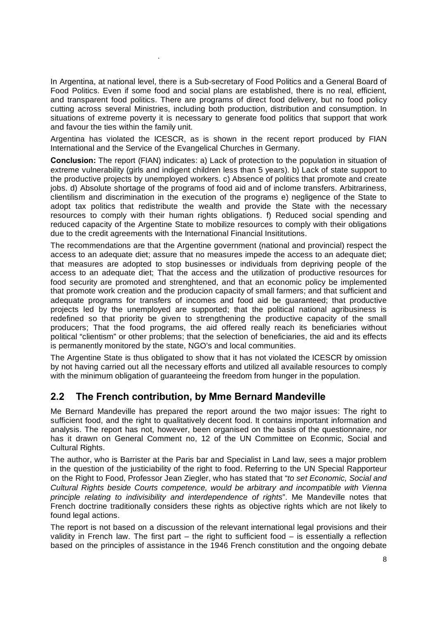In Argentina, at national level, there is a Sub-secretary of Food Politics and a General Board of Food Politics. Even if some food and social plans are established, there is no real, efficient, and transparent food politics. There are programs of direct food delivery, but no food policy cutting across several Ministries, including both production, distribution and consumption. In situations of extreme poverty it is necessary to generate food politics that support that work and favour the ties within the family unit.

.

Argentina has violated the ICESCR, as is shown in the recent report produced by FIAN International and the Service of the Evangelical Churches in Germany.

**Conclusion:** The report (FIAN) indicates: a) Lack of protection to the population in situation of extreme vulnerability (girls and indigent children less than 5 years). b) Lack of state support to the productive projects by unemployed workers. c) Absence of politics that promote and create jobs. d) Absolute shortage of the programs of food aid and of inclome transfers. Arbitrariness, clientilism and discrimination in the execution of the programs e) negligence of the State to adopt tax politics that redistribute the wealth and provide the State with the necessary resources to comply with their human rights obligations. f) Reduced social spending and reduced capacity of the Argentine State to mobilize resources to comply with their obligations due to the credit agreements with the International Financial Insititutions.

The recommendations are that the Argentine government (national and provincial) respect the access to an adequate diet; assure that no measures impede the access to an adequate diet; that measures are adopted to stop businesses or individuals from depriving people of the access to an adequate diet; That the access and the utilization of productive resources for food security are promoted and strenghtened, and that an economic policy be implemented that promote work creation and the producion capacity of small farmers; and that sufficient and adequate programs for transfers of incomes and food aid be guaranteed; that productive projects led by the unemployed are supported; that the political national agribusiness is redefined so that priority be given to strengthening the productive capacity of the small producers; That the food programs, the aid offered really reach its beneficiaries without political "clientism" or other problems; that the selection of beneficiaries, the aid and its effects is permanently monitored by the state, NGO's and local communities.

The Argentine State is thus obligated to show that it has not violated the ICESCR by omission by not having carried out all the necessary efforts and utilized all available resources to comply with the minimum obligation of guaranteeing the freedom from hunger in the population.

### **2.2 The French contribution, by Mme Bernard Mandeville**

Me Bernard Mandeville has prepared the report around the two major issues: The right to sufficient food, and the right to qualitatively decent food. It contains important information and analysis. The report has not, however, been organised on the basis of the questionnaire, nor has it drawn on General Comment no, 12 of the UN Committee on Econmic, Social and Cultural Rights.

The author, who is Barrister at the Paris bar and Specialist in Land law, sees a major problem in the question of the justiciability of the right to food. Referring to the UN Special Rapporteur on the Right to Food, Professor Jean Ziegler, who has stated that "*to set Economic, Social and Cultural Rights beside Courts competence, would be arbitrary and incompatible with Vienna principle relating to indivisibility and interdependence of rights*". Me Mandeville notes that French doctrine traditionally considers these rights as objective rights which are not likely to found legal actions.

The report is not based on a discussion of the relevant international legal provisions and their validity in French law. The first part – the right to sufficient food – is essentially a reflection based on the principles of assistance in the 1946 French constitution and the ongoing debate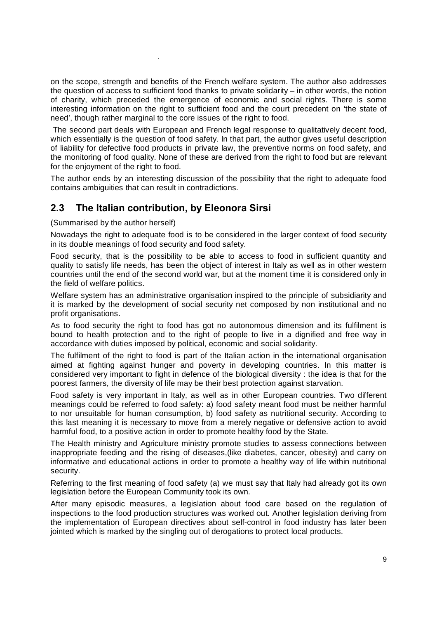on the scope, strength and benefits of the French welfare system. The author also addresses the question of access to sufficient food thanks to private solidarity – in other words, the notion of charity, which preceded the emergence of economic and social rights. There is some interesting information on the right to sufficient food and the court precedent on 'the state of need', though rather marginal to the core issues of the right to food.

 The second part deals with European and French legal response to qualitatively decent food, which essentially is the question of food safety. In that part, the author gives useful description of liability for defective food products in private law, the preventive norms on food safety, and the monitoring of food quality. None of these are derived from the right to food but are relevant for the enjoyment of the right to food.

The author ends by an interesting discussion of the possibility that the right to adequate food contains ambiguities that can result in contradictions.

### **2.3 The Italian contribution, by Eleonora Sirsi**

(Summarised by the author herself)

.

Nowadays the right to adequate food is to be considered in the larger context of food security in its double meanings of food security and food safety.

Food security, that is the possibility to be able to access to food in sufficient quantity and quality to satisfy life needs, has been the object of interest in Italy as well as in other western countries until the end of the second world war, but at the moment time it is considered only in the field of welfare politics.

Welfare system has an administrative organisation inspired to the principle of subsidiarity and it is marked by the development of social security net composed by non institutional and no profit organisations.

As to food security the right to food has got no autonomous dimension and its fulfilment is bound to health protection and to the right of people to live in a dignified and free way in accordance with duties imposed by political, economic and social solidarity.

The fulfilment of the right to food is part of the Italian action in the international organisation aimed at fighting against hunger and poverty in developing countries. In this matter is considered very important to fight in defence of the biological diversity : the idea is that for the poorest farmers, the diversity of life may be their best protection against starvation.

Food safety is very important in Italy, as well as in other European countries. Two different meanings could be referred to food safety: a) food safety meant food must be neither harmful to nor unsuitable for human consumption, b) food safety as nutritional security. According to this last meaning it is necessary to move from a merely negative or defensive action to avoid harmful food, to a positive action in order to promote healthy food by the State.

The Health ministry and Agriculture ministry promote studies to assess connections between inappropriate feeding and the rising of diseases,(like diabetes, cancer, obesity) and carry on informative and educational actions in order to promote a healthy way of life within nutritional security.

Referring to the first meaning of food safety (a) we must say that Italy had already got its own legislation before the European Community took its own.

After many episodic measures, a legislation about food care based on the regulation of inspections to the food production structures was worked out. Another legislation deriving from the implementation of European directives about self-control in food industry has later been jointed which is marked by the singling out of derogations to protect local products.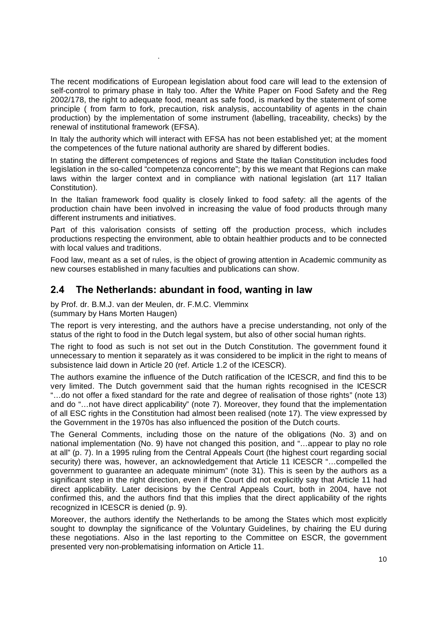The recent modifications of European legislation about food care will lead to the extension of self-control to primary phase in Italy too. After the White Paper on Food Safety and the Reg 2002/178, the right to adequate food, meant as safe food, is marked by the statement of some principle ( from farm to fork, precaution, risk analysis, accountability of agents in the chain production) by the implementation of some instrument (labelling, traceability, checks) by the renewal of institutional framework (EFSA).

In Italy the authority which will interact with EFSA has not been established yet; at the moment the competences of the future national authority are shared by different bodies.

In stating the different competences of regions and State the Italian Constitution includes food legislation in the so-called "competenza concorrente"; by this we meant that Regions can make laws within the larger context and in compliance with national legislation (art 117 Italian Constitution).

In the Italian framework food quality is closely linked to food safety: all the agents of the production chain have been involved in increasing the value of food products through many different instruments and initiatives.

Part of this valorisation consists of setting off the production process, which includes productions respecting the environment, able to obtain healthier products and to be connected with local values and traditions.

Food law, meant as a set of rules, is the object of growing attention in Academic community as new courses established in many faculties and publications can show.

### **2.4 The Netherlands: abundant in food, wanting in law**

by Prof. dr. B.M.J. van der Meulen, dr. F.M.C. Vlemminx (summary by Hans Morten Haugen)

.

The report is very interesting, and the authors have a precise understanding, not only of the status of the right to food in the Dutch legal system, but also of other social human rights.

The right to food as such is not set out in the Dutch Constitution. The government found it unnecessary to mention it separately as it was considered to be implicit in the right to means of subsistence laid down in Article 20 (ref. Article 1.2 of the ICESCR).

The authors examine the influence of the Dutch ratification of the ICESCR, and find this to be very limited. The Dutch government said that the human rights recognised in the ICESCR "…do not offer a fixed standard for the rate and degree of realisation of those rights" (note 13) and do "…not have direct applicability" (note 7). Moreover, they found that the implementation of all ESC rights in the Constitution had almost been realised (note 17). The view expressed by the Government in the 1970s has also influenced the position of the Dutch courts.

The General Comments, including those on the nature of the obligations (No. 3) and on national implementation (No. 9) have not changed this position, and "…appear to play no role at all" (p. 7). In a 1995 ruling from the Central Appeals Court (the highest court regarding social security) there was, however, an acknowledgement that Article 11 ICESCR "…compelled the government to guarantee an adequate minimum" (note 31). This is seen by the authors as a significant step in the right direction, even if the Court did not explicitly say that Article 11 had direct applicability. Later decisions by the Central Appeals Court, both in 2004, have not confirmed this, and the authors find that this implies that the direct applicability of the rights recognized in ICESCR is denied (p. 9).

Moreover, the authors identify the Netherlands to be among the States which most explicitly sought to downplay the significance of the Voluntary Guidelines, by chairing the EU during these negotiations. Also in the last reporting to the Committee on ESCR, the government presented very non-problematising information on Article 11.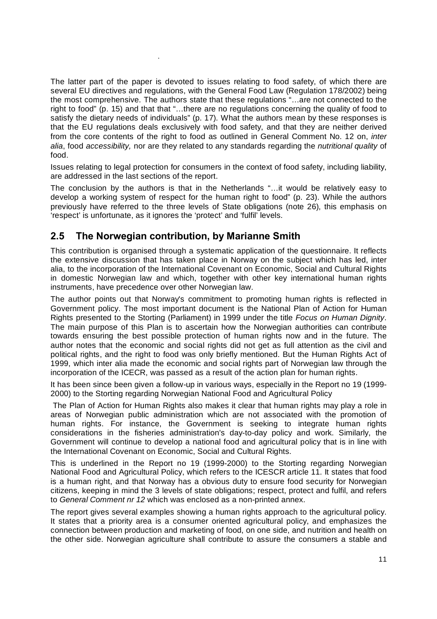The latter part of the paper is devoted to issues relating to food safety, of which there are several EU directives and regulations, with the General Food Law (Regulation 178/2002) being the most comprehensive. The authors state that these regulations "…are not connected to the right to food" (p. 15) and that that "…there are no regulations concerning the quality of food to satisfy the dietary needs of individuals" (p. 17). What the authors mean by these responses is that the EU regulations deals exclusively with food safety, and that they are neither derived from the core contents of the right to food as outlined in General Comment No. 12 on, *inter alia*, food *accessibility,* nor are they related to any standards regarding the *nutritional quality* of food.

Issues relating to legal protection for consumers in the context of food safety, including liability, are addressed in the last sections of the report.

The conclusion by the authors is that in the Netherlands "…it would be relatively easy to develop a working system of respect for the human right to food" (p. 23). While the authors previously have referred to the three levels of State obligations (note 26), this emphasis on 'respect' is unfortunate, as it ignores the 'protect' and 'fulfil' levels.

### **2.5 The Norwegian contribution, by Marianne Smith**

.

This contribution is organised through a systematic application of the questionnaire. It reflects the extensive discussion that has taken place in Norway on the subject which has led, inter alia, to the incorporation of the International Covenant on Economic, Social and Cultural Rights in domestic Norwegian law and which, together with other key international human rights instruments, have precedence over other Norwegian law.

The author points out that Norway's commitment to promoting human rights is reflected in Government policy. The most important document is the National Plan of Action for Human Rights presented to the Storting (Parliament) in 1999 under the title *Focus on Human Dignity*. The main purpose of this Plan is to ascertain how the Norwegian authorities can contribute towards ensuring the best possible protection of human rights now and in the future. The author notes that the economic and social rights did not get as full attention as the civil and political rights, and the right to food was only briefly mentioned. But the Human Rights Act of 1999, which inter alia made the economic and social rights part of Norwegian law through the incorporation of the ICECR, was passed as a result of the action plan for human rights.

It has been since been given a follow-up in various ways, especially in the Report no 19 (1999- 2000) to the Storting regarding Norwegian National Food and Agricultural Policy

 The Plan of Action for Human Rights also makes it clear that human rights may play a role in areas of Norwegian public administration which are not associated with the promotion of human rights. For instance, the Government is seeking to integrate human rights considerations in the fisheries administration's day-to-day policy and work. Similarly, the Government will continue to develop a national food and agricultural policy that is in line with the International Covenant on Economic, Social and Cultural Rights.

This is underlined in the Report no 19 (1999-2000) to the Storting regarding Norwegian National Food and Agricultural Policy, which refers to the ICESCR article 11. It states that food is a human right, and that Norway has a obvious duty to ensure food security for Norwegian citizens, keeping in mind the 3 levels of state obligations; respect, protect and fulfil, and refers to *General Comment nr 12* which was enclosed as a non-printed annex.

The report gives several examples showing a human rights approach to the agricultural policy. It states that a priority area is a consumer oriented agricultural policy, and emphasizes the connection between production and marketing of food, on one side, and nutrition and health on the other side. Norwegian agriculture shall contribute to assure the consumers a stable and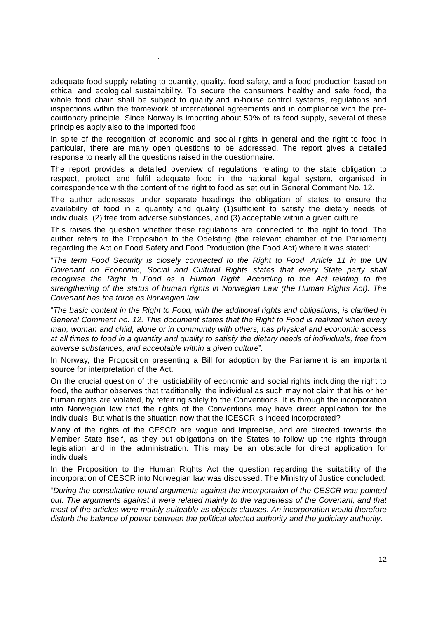adequate food supply relating to quantity, quality, food safety, and a food production based on ethical and ecological sustainability. To secure the consumers healthy and safe food, the whole food chain shall be subject to quality and in-house control systems, regulations and inspections within the framework of international agreements and in compliance with the precautionary principle. Since Norway is importing about 50% of its food supply, several of these principles apply also to the imported food.

.

In spite of the recognition of economic and social rights in general and the right to food in particular, there are many open questions to be addressed. The report gives a detailed response to nearly all the questions raised in the questionnaire.

The report provides a detailed overview of regulations relating to the state obligation to respect, protect and fulfil adequate food in the national legal system, organised in correspondence with the content of the right to food as set out in General Comment No. 12.

The author addresses under separate headings the obligation of states to ensure the availability of food in a quantity and quality (1)sufficient to satisfy the dietary needs of individuals, (2) free from adverse substances, and (3) acceptable within a given culture.

This raises the question whether these regulations are connected to the right to food. The author refers to the Proposition to the Odelsting (the relevant chamber of the Parliament) regarding the Act on Food Safety and Food Production (the Food Act) where it was stated:

"*The term Food Security is closely connected to the Right to Food. Article 11 in the UN Covenant on Economic, Social and Cultural Rights states that every State party shall recognise the Right to Food as a Human Right. According to the Act relating to the strengthening of the status of human rights in Norwegian Law (the Human Rights Act). The Covenant has the force as Norwegian law.* 

"*The basic content in the Right to Food, with the additional rights and obligations, is clarified in General Comment no. 12. This document states that the Right to Food is realized when every man, woman and child, alone or in community with others, has physical and economic access at all times to food in a quantity and quality to satisfy the dietary needs of individuals, free from adverse substances, and acceptable within a given culture*"*.* 

In Norway, the Proposition presenting a Bill for adoption by the Parliament is an important source for interpretation of the Act.

On the crucial question of the justiciability of economic and social rights including the right to food, the author observes that traditionally, the individual as such may not claim that his or her human rights are violated, by referring solely to the Conventions. It is through the incorporation into Norwegian law that the rights of the Conventions may have direct application for the individuals. But what is the situation now that the ICESCR is indeed incorporated?

Many of the rights of the CESCR are vague and imprecise, and are directed towards the Member State itself, as they put obligations on the States to follow up the rights through legislation and in the administration. This may be an obstacle for direct application for individuals.

In the Proposition to the Human Rights Act the question regarding the suitability of the incorporation of CESCR into Norwegian law was discussed. The Ministry of Justice concluded:

"*During the consultative round arguments against the incorporation of the CESCR was pointed*  out. The arguments against it were related mainly to the vagueness of the Covenant, and that *most of the articles were mainly suiteable as objects clauses. An incorporation would therefore disturb the balance of power between the political elected authority and the judiciary authority.*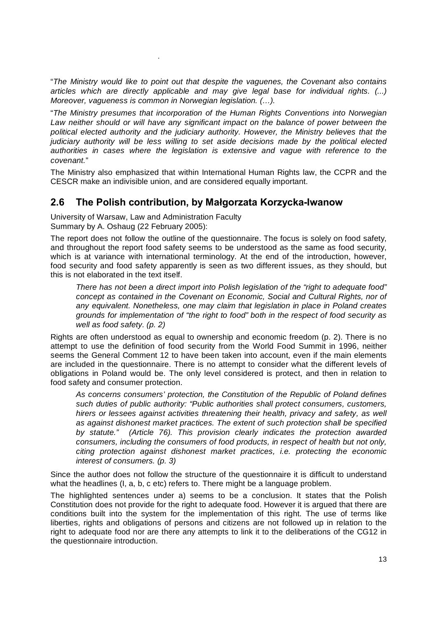"*The Ministry would like to point out that despite the vaguenes, the Covenant also contains articles which are directly applicable and may give legal base for individual rights. (...) Moreover, vagueness is common in Norwegian legislation. (…).* 

"*The Ministry presumes that incorporation of the Human Rights Conventions into Norwegian*  Law neither should or will have any significant impact on the balance of power between the *political elected authority and the judiciary authority. However, the Ministry believes that the judiciary authority will be less willing to set aside decisions made by the political elected authorities in cases where the legislation is extensive and vague with reference to the covenant.*"

The Ministry also emphasized that within International Human Rights law, the CCPR and the CESCR make an indivisible union, and are considered equally important.

### **2.6 The Polish contribution, by Małgorzata Korzycka-Iwanow**

University of Warsaw, Law and Administration Faculty Summary by A. Oshaug (22 February 2005):

.

The report does not follow the outline of the questionnaire. The focus is solely on food safety, and throughout the report food safety seems to be understood as the same as food security, which is at variance with international terminology. At the end of the introduction, however, food security and food safety apparently is seen as two different issues, as they should, but this is not elaborated in the text itself.

*There has not been a direct import into Polish legislation of the "right to adequate food" concept as contained in the Covenant on Economic, Social and Cultural Rights, nor of any equivalent. Nonetheless, one may claim that legislation in place in Poland creates grounds for implementation of "the right to food" both in the respect of food security as well as food safety. (p. 2)* 

Rights are often understood as equal to ownership and economic freedom (p. 2). There is no attempt to use the definition of food security from the World Food Summit in 1996, neither seems the General Comment 12 to have been taken into account, even if the main elements are included in the questionnaire. There is no attempt to consider what the different levels of obligations in Poland would be. The only level considered is protect, and then in relation to food safety and consumer protection.

*As concerns consumers' protection, the Constitution of the Republic of Poland defines such duties of public authority: "Public authorities shall protect consumers, customers, hirers or lessees against activities threatening their health, privacy and safety, as well as against dishonest market practices. The extent of such protection shall be specified by statute." (Article 76). This provision clearly indicates the protection awarded consumers, including the consumers of food products, in respect of health but not only, citing protection against dishonest market practices, i.e. protecting the economic interest of consumers. (p. 3)* 

Since the author does not follow the structure of the questionnaire it is difficult to understand what the headlines (I, a, b, c etc) refers to. There might be a language problem.

The highlighted sentences under a) seems to be a conclusion. It states that the Polish Constitution does not provide for the right to adequate food. However it is argued that there are conditions built into the system for the implementation of this right. The use of terms like liberties, rights and obligations of persons and citizens are not followed up in relation to the right to adequate food nor are there any attempts to link it to the deliberations of the CG12 in the questionnaire introduction.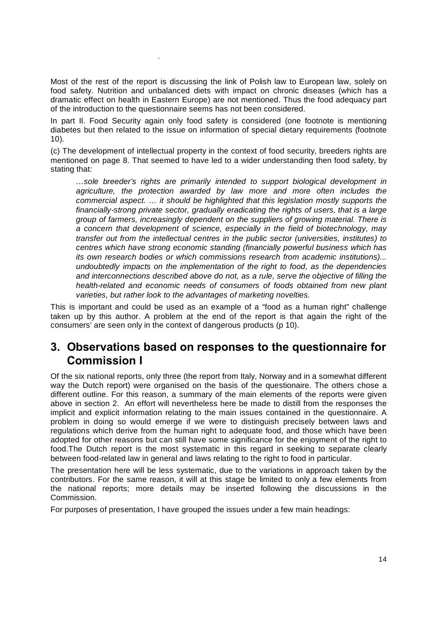Most of the rest of the report is discussing the link of Polish law to European law, solely on food safety. Nutrition and unbalanced diets with impact on chronic diseases (which has a dramatic effect on health in Eastern Europe) are not mentioned. Thus the food adequacy part of the introduction to the questionnaire seems has not been considered.

.

In part II. Food Security again only food safety is considered (one footnote is mentioning diabetes but then related to the issue on information of special dietary requirements (footnote 10).

(c) The development of intellectual property in the context of food security, breeders rights are mentioned on page 8. That seemed to have led to a wider understanding then food safety, by stating that:

*…sole breeder's rights are primarily intended to support biological development in agriculture, the protection awarded by law more and more often includes the commercial aspect. … it should be highlighted that this legislation mostly supports the financially-strong private sector, gradually eradicating the rights of users, that is a large group of farmers, increasingly dependent on the suppliers of growing material. There is a concern that development of science, especially in the field of biotechnology, may transfer out from the intellectual centres in the public sector (universities, institutes) to centres which have strong economic standing (financially powerful business which has its own research bodies or which commissions research from academic institutions)... undoubtedly impacts on the implementation of the right to food, as the dependencies and interconnections described above do not, as a rule, serve the objective of filling the health-related and economic needs of consumers of foods obtained from new plant varieties, but rather look to the advantages of marketing novelties.* 

This is important and could be used as an example of a "food as a human right" challenge taken up by this author. A problem at the end of the report is that again the right of the consumers' are seen only in the context of dangerous products (p 10).

## **3. Observations based on responses to the questionnaire for Commission I**

Of the six national reports, only three (the report from Italy, Norway and in a somewhat different way the Dutch report) were organised on the basis of the questionaire. The others chose a different outline. For this reason, a summary of the main elements of the reports were given above in section 2. An effort will nevertheless here be made to distill from the responses the implicit and explicit information relating to the main issues contained in the questionnaire. A problem in doing so would emerge if we were to distinguish precisely between laws and regulations which derive from the human right to adequate food, and those which have been adopted for other reasons but can still have some significance for the enjoyment of the right to food.The Dutch report is the most systematic in this regard in seeking to separate clearly between food-related law in general and laws relating to the right to food in particular.

The presentation here will be less systematic, due to the variations in approach taken by the contributors. For the same reason, it will at this stage be limited to only a few elements from the national reports; more details may be inserted following the discussions in the Commission.

For purposes of presentation, I have grouped the issues under a few main headings: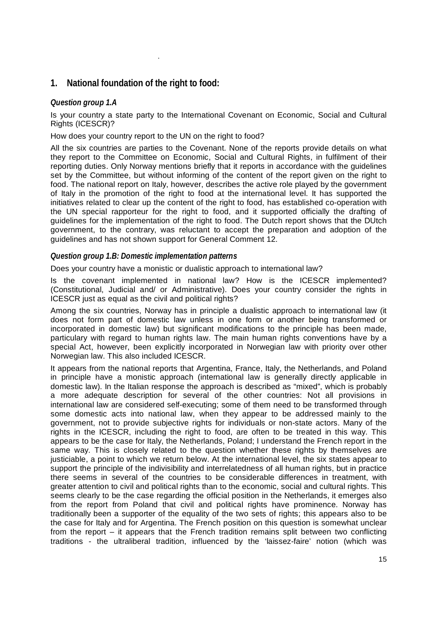### **1. National foundation of the right to food:**

#### *Question group 1.A*

.

Is your country a state party to the International Covenant on Economic, Social and Cultural Rights (ICESCR)?

How does your country report to the UN on the right to food?

All the six countries are parties to the Covenant. None of the reports provide details on what they report to the Committee on Economic, Social and Cultural Rights, in fulfilment of their reporting duties. Only Norway mentions briefly that it reports in accordance with the guidelines set by the Committee, but without informing of the content of the report given on the right to food. The national report on Italy, however, describes the active role played by the government of Italy in the promotion of the right to food at the international level. It has supported the initiatives related to clear up the content of the right to food, has established co-operation with the UN special rapporteur for the right to food, and it supported officially the drafting of guidelines for the implementation of the right to food. The Dutch report shows that the DUtch government, to the contrary, was reluctant to accept the preparation and adoption of the guidelines and has not shown support for General Comment 12.

#### *Question group 1.B: Domestic implementation patterns*

Does your country have a monistic or dualistic approach to international law?

Is the covenant implemented in national law? How is the ICESCR implemented? (Constitutional, Judicial and/ or Administrative). Does your country consider the rights in ICESCR just as equal as the civil and political rights?

Among the six countries, Norway has in principle a dualistic approach to international law (it does not form part of domestic law unless in one form or another being transformed or incorporated in domestic law) but significant modifications to the principle has been made, particulary with regard to human rights law. The main human rights conventions have by a special Act, however, been explicitly incorporated in Norwegian law with priority over other Norwegian law. This also included ICESCR.

It appears from the national reports that Argentina, France, Italy, the Netherlands, and Poland in principle have a monistic approach (international law is generally directly applicable in domestic law). In the Italian response the approach is described as "mixed", which is probably a more adequate description for several of the other countries: Not all provisions in international law are considered self-executing; some of them need to be transformed through some domestic acts into national law, when they appear to be addressed mainly to the government, not to provide subjective rights for individuals or non-state actors. Many of the rights in the ICESCR, including the right to food, are often to be treated in this way. This appears to be the case for Italy, the Netherlands, Poland; I understand the French report in the same way. This is closely related to the question whether these rights by themselves are justiciable, a point to which we return below. At the international level, the six states appear to support the principle of the indivisibility and interrelatedness of all human rights, but in practice there seems in several of the countries to be considerable differences in treatment, with greater attention to civil and political rights than to the economic, social and cultural rights. This seems clearly to be the case regarding the official position in the Netherlands, it emerges also from the report from Poland that civil and political rights have prominence. Norway has traditionally been a supporter of the equality of the two sets of rights; this appears also to be the case for Italy and for Argentina. The French position on this question is somewhat unclear from the report – it appears that the French tradition remains split between two conflicting traditions - the ultraliberal tradition, influenced by the 'laissez-faire' notion (which was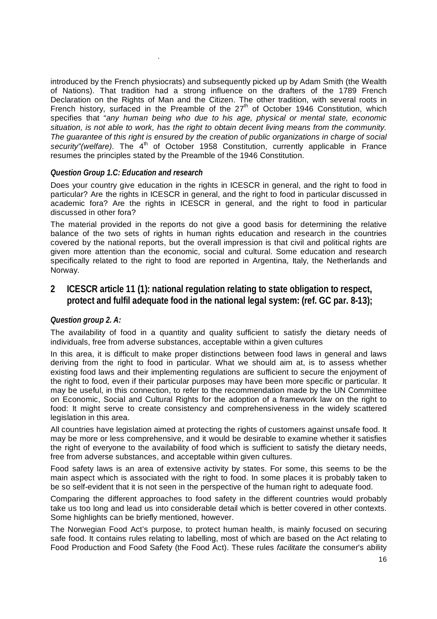introduced by the French physiocrats) and subsequently picked up by Adam Smith (the Wealth of Nations). That tradition had a strong influence on the drafters of the 1789 French Declaration on the Rights of Man and the Citizen. The other tradition, with several roots in French history, surfaced in the Preamble of the  $27<sup>th</sup>$  of October 1946 Constitution, which specifies that "*any human being who due to his age, physical or mental state, economic situation, is not able to work, has the right to obtain decent living means from the community. The guarantee of this right is ensured by the creation of public organizations in charge of social*  security" (welfare). The 4<sup>th</sup> of October 1958 Constitution, currently applicable in France resumes the principles stated by the Preamble of the 1946 Constitution.

#### *Question Group 1.C: Education and research*

.

Does your country give education in the rights in ICESCR in general, and the right to food in particular? Are the rights in ICESCR in general, and the right to food in particular discussed in academic fora? Are the rights in ICESCR in general, and the right to food in particular discussed in other fora?

The material provided in the reports do not give a good basis for determining the relative balance of the two sets of rights in human rights education and research in the countries covered by the national reports, but the overall impression is that civil and political rights are given more attention than the economic, social and cultural. Some education and research specifically related to the right to food are reported in Argentina, Italy, the Netherlands and Norway.

**2 ICESCR article 11 (1): national regulation relating to state obligation to respect, protect and fulfil adequate food in the national legal system: (ref. GC par. 8-13);** 

#### *Question group 2. A:*

The availability of food in a quantity and quality sufficient to satisfy the dietary needs of individuals, free from adverse substances, acceptable within a given cultures

In this area, it is difficult to make proper distinctions between food laws in general and laws deriving from the right to food in particular. What we should aim at, is to assess whether existing food laws and their implementing regulations are sufficient to secure the enjoyment of the right to food, even if their particular purposes may have been more specific or particular. It may be useful, in this connection, to refer to the recommendation made by the UN Committee on Economic, Social and Cultural Rights for the adoption of a framework law on the right to food: It might serve to create consistency and comprehensiveness in the widely scattered legislation in this area.

All countries have legislation aimed at protecting the rights of customers against unsafe food. It may be more or less comprehensive, and it would be desirable to examine whether it satisfies the right of everyone to the availability of food which is sufficient to satisfy the dietary needs, free from adverse substances, and acceptable within given cultures.

Food safety laws is an area of extensive activity by states. For some, this seems to be the main aspect which is associated with the right to food. In some places it is probably taken to be so self-evident that it is not seen in the perspective of the human right to adequate food.

Comparing the different approaches to food safety in the different countries would probably take us too long and lead us into considerable detail which is better covered in other contexts. Some highlights can be briefly mentioned, however.

The Norwegian Food Act's purpose, to protect human health, is mainly focused on securing safe food. It contains rules relating to labelling, most of which are based on the Act relating to Food Production and Food Safety (the Food Act). These rules *facilitate* the consumer's ability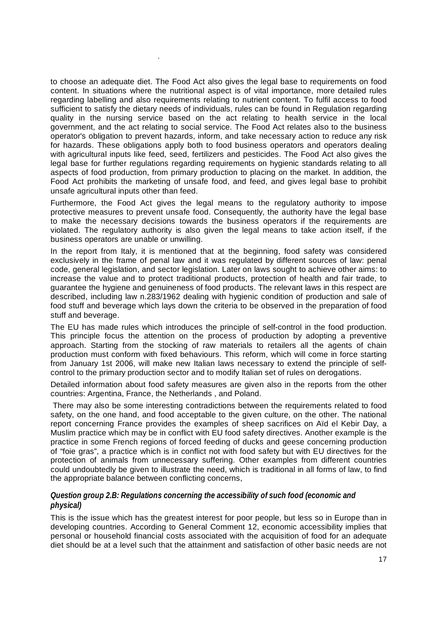to choose an adequate diet. The Food Act also gives the legal base to requirements on food content. In situations where the nutritional aspect is of vital importance, more detailed rules regarding labelling and also requirements relating to nutrient content. To fulfil access to food sufficient to satisfy the dietary needs of individuals, rules can be found in Regulation regarding quality in the nursing service based on the act relating to health service in the local government, and the act relating to social service. The Food Act relates also to the business operator's obligation to prevent hazards, inform, and take necessary action to reduce any risk for hazards. These obligations apply both to food business operators and operators dealing with agricultural inputs like feed, seed, fertilizers and pesticides. The Food Act also gives the legal base for further regulations regarding requirements on hygienic standards relating to all aspects of food production, from primary production to placing on the market. In addition, the Food Act prohibits the marketing of unsafe food, and feed, and gives legal base to prohibit unsafe agricultural inputs other than feed.

.

Furthermore, the Food Act gives the legal means to the regulatory authority to impose protective measures to prevent unsafe food. Consequently, the authority have the legal base to make the necessary decisions towards the business operators if the requirements are violated. The regulatory authority is also given the legal means to take action itself, if the business operators are unable or unwilling.

In the report from Italy, it is mentioned that at the beginning, food safety was considered exclusively in the frame of penal law and it was regulated by different sources of law: penal code, general legislation, and sector legislation. Later on laws sought to achieve other aims: to increase the value and to protect traditional products, protection of health and fair trade, to guarantee the hygiene and genuineness of food products. The relevant laws in this respect are described, including law n.283/1962 dealing with hygienic condition of production and sale of food stuff and beverage which lays down the criteria to be observed in the preparation of food stuff and beverage.

The EU has made rules which introduces the principle of self-control in the food production. This principle focus the attention on the process of production by adopting a preventive approach. Starting from the stocking of raw materials to retailers all the agents of chain production must conform with fixed behaviours. This reform, which will come in force starting from January 1st 2006, will make new Italian laws necessary to extend the principle of selfcontrol to the primary production sector and to modify Italian set of rules on derogations.

Detailed information about food safety measures are given also in the reports from the other countries: Argentina, France, the Netherlands , and Poland.

 There may also be some interesting contradictions between the requirements related to food safety, on the one hand, and food acceptable to the given culture, on the other. The national report concerning France provides the examples of sheep sacrifices on Aïd el Kebir Day, a Muslim practice which may be in conflict with EU food safety directives. Another example is the practice in some French regions of forced feeding of ducks and geese concerning production of "foie gras", a practice which is in conflict not with food safety but with EU directives for the protection of animals from unnecessary suffering. Other examples from different countries could undoubtedly be given to illustrate the need, which is traditional in all forms of law, to find the appropriate balance between conflicting concerns,

#### *Question group 2.B: Regulations concerning the accessibility of such food (economic and physical)*

This is the issue which has the greatest interest for poor people, but less so in Europe than in developing countries. According to General Comment 12, economic accessibility implies that personal or household financial costs associated with the acquisition of food for an adequate diet should be at a level such that the attainment and satisfaction of other basic needs are not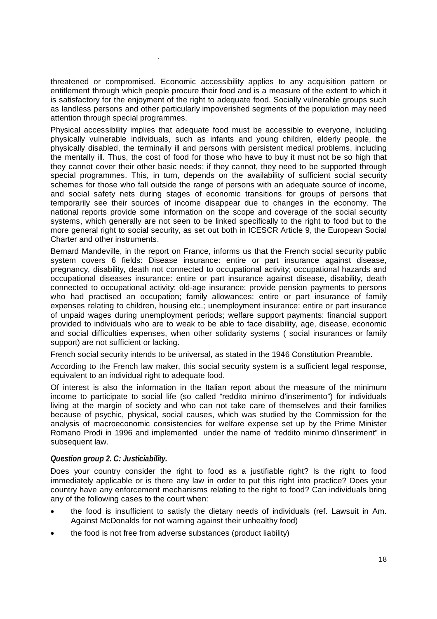threatened or compromised. Economic accessibility applies to any acquisition pattern or entitlement through which people procure their food and is a measure of the extent to which it is satisfactory for the enjoyment of the right to adequate food. Socially vulnerable groups such as landless persons and other particularly impoverished segments of the population may need attention through special programmes.

Physical accessibility implies that adequate food must be accessible to everyone, including physically vulnerable individuals, such as infants and young children, elderly people, the physically disabled, the terminally ill and persons with persistent medical problems, including the mentally ill. Thus, the cost of food for those who have to buy it must not be so high that they cannot cover their other basic needs; if they cannot, they need to be supported through special programmes. This, in turn, depends on the availability of sufficient social security schemes for those who fall outside the range of persons with an adequate source of income, and social safety nets during stages of economic transitions for groups of persons that temporarily see their sources of income disappear due to changes in the economy. The national reports provide some information on the scope and coverage of the social security systems, which generally are not seen to be linked specifically to the right to food but to the more general right to social security, as set out both in ICESCR Article 9, the European Social Charter and other instruments.

Bernard Mandeville, in the report on France, informs us that the French social security public system covers 6 fields: Disease insurance: entire or part insurance against disease, pregnancy, disability, death not connected to occupational activity; occupational hazards and occupational diseases insurance: entire or part insurance against disease, disability, death connected to occupational activity; old-age insurance: provide pension payments to persons who had practised an occupation; family allowances: entire or part insurance of family expenses relating to children, housing etc.; unemployment insurance: entire or part insurance of unpaid wages during unemployment periods; welfare support payments: financial support provided to individuals who are to weak to be able to face disability, age, disease, economic and social difficulties expenses, when other solidarity systems ( social insurances or family support) are not sufficient or lacking.

French social security intends to be universal, as stated in the 1946 Constitution Preamble.

According to the French law maker, this social security system is a sufficient legal response, equivalent to an individual right to adequate food.

Of interest is also the information in the Italian report about the measure of the minimum income to participate to social life (so called "reddito minimo d'inserimento") for individuals living at the margin of society and who can not take care of themselves and their families because of psychic, physical, social causes, which was studied by the Commission for the analysis of macroeconomic consistencies for welfare expense set up by the Prime Minister Romano Prodi in 1996 and implemented under the name of "reddito minimo d'inseriment" in subsequent law.

#### *Question group 2. C: Justiciability.*

.

Does your country consider the right to food as a justifiable right? Is the right to food immediately applicable or is there any law in order to put this right into practice? Does your country have any enforcement mechanisms relating to the right to food? Can individuals bring any of the following cases to the court when:

- the food is insufficient to satisfy the dietary needs of individuals (ref. Lawsuit in Am. Against McDonalds for not warning against their unhealthy food)
- the food is not free from adverse substances (product liability)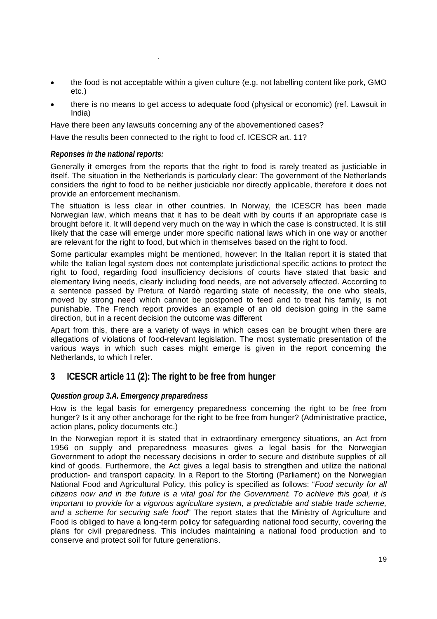- the food is not acceptable within a given culture (e.g. not labelling content like pork, GMO etc.)
- there is no means to get access to adequate food (physical or economic) (ref. Lawsuit in India)

Have there been any lawsuits concerning any of the abovementioned cases?

Have the results been connected to the right to food cf. ICESCR art. 11?

#### *Reponses in the national reports:*

.

Generally it emerges from the reports that the right to food is rarely treated as justiciable in itself. The situation in the Netherlands is particularly clear: The government of the Netherlands considers the right to food to be neither justiciable nor directly applicable, therefore it does not provide an enforcement mechanism.

The situation is less clear in other countries. In Norway, the ICESCR has been made Norwegian law, which means that it has to be dealt with by courts if an appropriate case is brought before it. It will depend very much on the way in which the case is constructed. It is still likely that the case will emerge under more specific national laws which in one way or another are relevant for the right to food, but which in themselves based on the right to food.

Some particular examples might be mentioned, however: In the Italian report it is stated that while the Italian legal system does not contemplate jurisdictional specific actions to protect the right to food, regarding food insufficiency decisions of courts have stated that basic and elementary living needs, clearly including food needs, are not adversely affected. According to a sentence passed by Pretura of Nardò regarding state of necessity, the one who steals, moved by strong need which cannot be postponed to feed and to treat his family, is not punishable. The French report provides an example of an old decision going in the same direction, but in a recent decision the outcome was different

Apart from this, there are a variety of ways in which cases can be brought when there are allegations of violations of food-relevant legislation. The most systematic presentation of the various ways in which such cases might emerge is given in the report concerning the Netherlands, to which I refer.

### **3 ICESCR article 11 (2): The right to be free from hunger**

#### *Question group 3.A. Emergency preparedness*

How is the legal basis for emergency preparedness concerning the right to be free from hunger? Is it any other anchorage for the right to be free from hunger? (Administrative practice, action plans, policy documents etc.)

In the Norwegian report it is stated that in extraordinary emergency situations, an Act from 1956 on supply and preparedness measures gives a legal basis for the Norwegian Government to adopt the necessary decisions in order to secure and distribute supplies of all kind of goods. Furthermore, the Act gives a legal basis to strengthen and utilize the national production- and transport capacity. In a Report to the Storting (Parliament) on the Norwegian National Food and Agricultural Policy, this policy is specified as follows: "*Food security for all citizens now and in the future is a vital goal for the Government. To achieve this goal, it is important to provide for a vigorous agriculture system, a predictable and stable trade scheme, and a scheme for securing safe food*" The report states that the Ministry of Agriculture and Food is obliged to have a long-term policy for safeguarding national food security, covering the plans for civil preparedness. This includes maintaining a national food production and to conserve and protect soil for future generations.